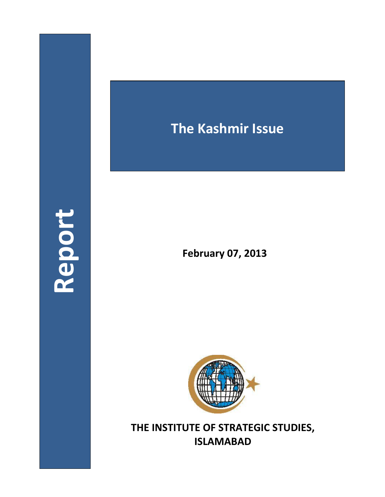## **Report**

## **The Kashmir Issue**

**February 07, 2013**



**THE INSTITUTE OF STRATEGIC STUDIES, ISLAMABAD**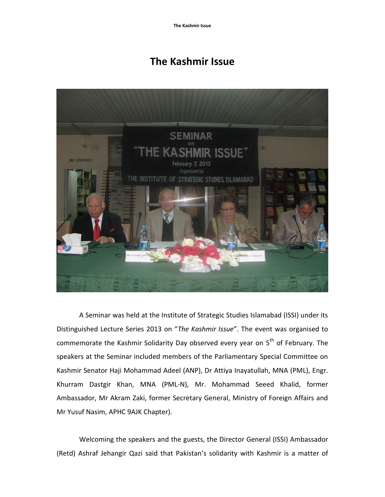## **The Kashmir Issue**



A Seminar was held at the Institute of Strategic Studies Islamabad (ISSI) under its Distinguished Lecture Series 2013 on "*The Kashmir Issue*". The event was organised to commemorate the Kashmir Solidarity Day observed every year on  $5<sup>th</sup>$  of February. The speakers at the Seminar included members of the Parliamentary Special Committee on Kashmir Senator Haji Mohammad Adeel (ANP), Dr Attiya Inayatullah, MNA (PML), Engr. Khurram Dastgir Khan, MNA (PML-N), Mr. Mohammad Seeed Khalid, former Ambassador, Mr Akram Zaki, former Secretary General, Ministry of Foreign Affairs and Mr Yusuf Nasim, APHC 9AJK Chapter).

Welcoming the speakers and the guests, the Director General (ISSI) Ambassador (Retd) Ashraf Jehangir Qazi said that Pakistan's solidarity with Kashmir is a matter of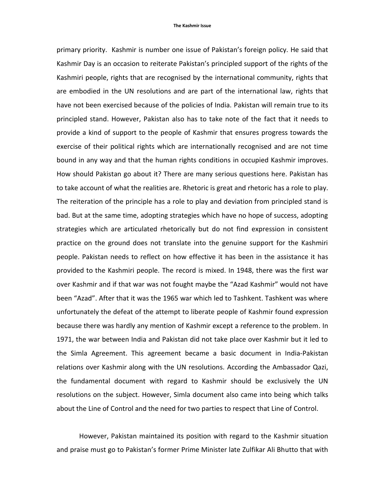primary priority. Kashmir is number one issue of Pakistan's foreign policy. He said that Kashmir Day is an occasion to reiterate Pakistan's principled support of the rights of the Kashmiri people, rights that are recognised by the international community, rights that are embodied in the UN resolutions and are part of the international law, rights that have not been exercised because of the policies of India. Pakistan will remain true to its principled stand. However, Pakistan also has to take note of the fact that it needs to provide a kind of support to the people of Kashmir that ensures progress towards the exercise of their political rights which are internationally recognised and are not time bound in any way and that the human rights conditions in occupied Kashmir improves. How should Pakistan go about it? There are many serious questions here. Pakistan has to take account of what the realities are. Rhetoric is great and rhetoric has a role to play. The reiteration of the principle has a role to play and deviation from principled stand is bad. But at the same time, adopting strategies which have no hope of success, adopting strategies which are articulated rhetorically but do not find expression in consistent practice on the ground does not translate into the genuine support for the Kashmiri people. Pakistan needs to reflect on how effective it has been in the assistance it has provided to the Kashmiri people. The record is mixed. In 1948, there was the first war over Kashmir and if that war was not fought maybe the "Azad Kashmir" would not have been "Azad". After that it was the 1965 war which led to Tashkent. Tashkent was where unfortunately the defeat of the attempt to liberate people of Kashmir found expression because there was hardly any mention of Kashmir except a reference to the problem. In 1971, the war between India and Pakistan did not take place over Kashmir but it led to the Simla Agreement. This agreement became a basic document in India-Pakistan relations over Kashmir along with the UN resolutions. According the Ambassador Qazi, the fundamental document with regard to Kashmir should be exclusively the UN resolutions on the subject. However, Simla document also came into being which talks about the Line of Control and the need for two parties to respect that Line of Control.

However, Pakistan maintained its position with regard to the Kashmir situation and praise must go to Pakistan's former Prime Minister late Zulfikar Ali Bhutto that with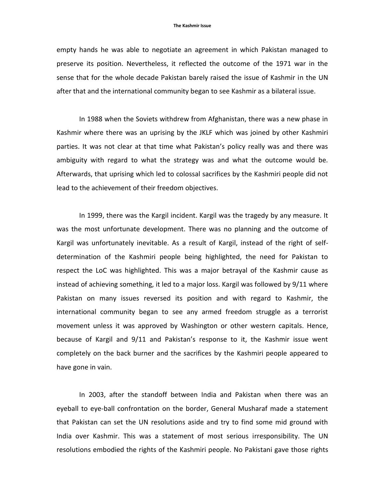empty hands he was able to negotiate an agreement in which Pakistan managed to preserve its position. Nevertheless, it reflected the outcome of the 1971 war in the sense that for the whole decade Pakistan barely raised the issue of Kashmir in the UN after that and the international community began to see Kashmir as a bilateral issue.

In 1988 when the Soviets withdrew from Afghanistan, there was a new phase in Kashmir where there was an uprising by the JKLF which was joined by other Kashmiri parties. It was not clear at that time what Pakistan's policy really was and there was ambiguity with regard to what the strategy was and what the outcome would be. Afterwards, that uprising which led to colossal sacrifices by the Kashmiri people did not lead to the achievement of their freedom objectives.

In 1999, there was the Kargil incident. Kargil was the tragedy by any measure. It was the most unfortunate development. There was no planning and the outcome of Kargil was unfortunately inevitable. As a result of Kargil, instead of the right of selfdetermination of the Kashmiri people being highlighted, the need for Pakistan to respect the LoC was highlighted. This was a major betrayal of the Kashmir cause as instead of achieving something, it led to a major loss. Kargil was followed by 9/11 where Pakistan on many issues reversed its position and with regard to Kashmir, the international community began to see any armed freedom struggle as a terrorist movement unless it was approved by Washington or other western capitals. Hence, because of Kargil and 9/11 and Pakistan's response to it, the Kashmir issue went completely on the back burner and the sacrifices by the Kashmiri people appeared to have gone in vain.

In 2003, after the standoff between India and Pakistan when there was an eyeball to eye-ball confrontation on the border, General Musharaf made a statement that Pakistan can set the UN resolutions aside and try to find some mid ground with India over Kashmir. This was a statement of most serious irresponsibility. The UN resolutions embodied the rights of the Kashmiri people. No Pakistani gave those rights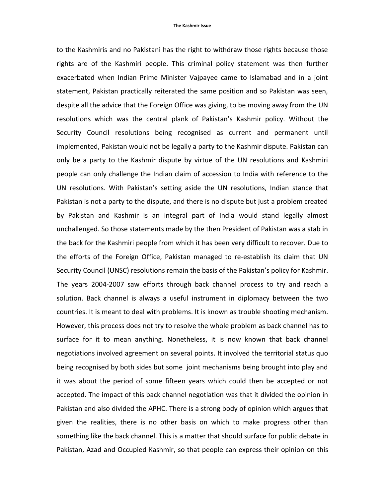to the Kashmiris and no Pakistani has the right to withdraw those rights because those rights are of the Kashmiri people. This criminal policy statement was then further exacerbated when Indian Prime Minister Vajpayee came to Islamabad and in a joint statement, Pakistan practically reiterated the same position and so Pakistan was seen, despite all the advice that the Foreign Office was giving, to be moving away from the UN resolutions which was the central plank of Pakistan's Kashmir policy. Without the Security Council resolutions being recognised as current and permanent until implemented, Pakistan would not be legally a party to the Kashmir dispute. Pakistan can only be a party to the Kashmir dispute by virtue of the UN resolutions and Kashmiri people can only challenge the Indian claim of accession to India with reference to the UN resolutions. With Pakistan's setting aside the UN resolutions, Indian stance that Pakistan is not a party to the dispute, and there is no dispute but just a problem created by Pakistan and Kashmir is an integral part of India would stand legally almost unchallenged. So those statements made by the then President of Pakistan was a stab in the back for the Kashmiri people from which it has been very difficult to recover. Due to the efforts of the Foreign Office, Pakistan managed to re-establish its claim that UN Security Council (UNSC) resolutions remain the basis of the Pakistan's policy for Kashmir. The years 2004-2007 saw efforts through back channel process to try and reach a solution. Back channel is always a useful instrument in diplomacy between the two countries. It is meant to deal with problems. It is known as trouble shooting mechanism. However, this process does not try to resolve the whole problem as back channel has to surface for it to mean anything. Nonetheless, it is now known that back channel negotiations involved agreement on several points. It involved the territorial status quo being recognised by both sides but some joint mechanisms being brought into play and it was about the period of some fifteen years which could then be accepted or not accepted. The impact of this back channel negotiation was that it divided the opinion in Pakistan and also divided the APHC. There is a strong body of opinion which argues that given the realities, there is no other basis on which to make progress other than something like the back channel. This is a matter that should surface for public debate in Pakistan, Azad and Occupied Kashmir, so that people can express their opinion on this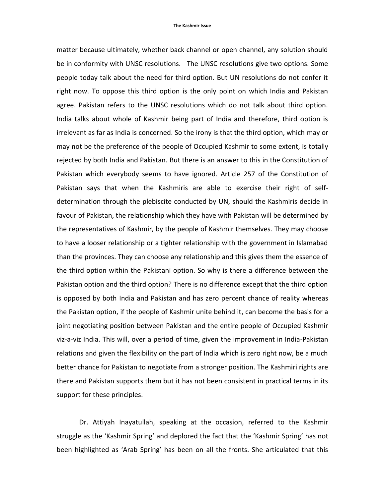matter because ultimately, whether back channel or open channel, any solution should be in conformity with UNSC resolutions. The UNSC resolutions give two options. Some people today talk about the need for third option. But UN resolutions do not confer it right now. To oppose this third option is the only point on which India and Pakistan agree. Pakistan refers to the UNSC resolutions which do not talk about third option. India talks about whole of Kashmir being part of India and therefore, third option is irrelevant as far as India is concerned. So the irony is that the third option, which may or may not be the preference of the people of Occupied Kashmir to some extent, is totally rejected by both India and Pakistan. But there is an answer to this in the Constitution of Pakistan which everybody seems to have ignored. Article 257 of the Constitution of Pakistan says that when the Kashmiris are able to exercise their right of selfdetermination through the plebiscite conducted by UN, should the Kashmiris decide in favour of Pakistan, the relationship which they have with Pakistan will be determined by the representatives of Kashmir, by the people of Kashmir themselves. They may choose to have a looser relationship or a tighter relationship with the government in Islamabad than the provinces. They can choose any relationship and this gives them the essence of the third option within the Pakistani option. So why is there a difference between the Pakistan option and the third option? There is no difference except that the third option is opposed by both India and Pakistan and has zero percent chance of reality whereas the Pakistan option, if the people of Kashmir unite behind it, can become the basis for a joint negotiating position between Pakistan and the entire people of Occupied Kashmir viz-a-viz India. This will, over a period of time, given the improvement in India-Pakistan relations and given the flexibility on the part of India which is zero right now, be a much better chance for Pakistan to negotiate from a stronger position. The Kashmiri rights are there and Pakistan supports them but it has not been consistent in practical terms in its support for these principles.

Dr. Attiyah Inayatullah, speaking at the occasion, referred to the Kashmir struggle as the 'Kashmir Spring' and deplored the fact that the 'Kashmir Spring' has not been highlighted as 'Arab Spring' has been on all the fronts. She articulated that this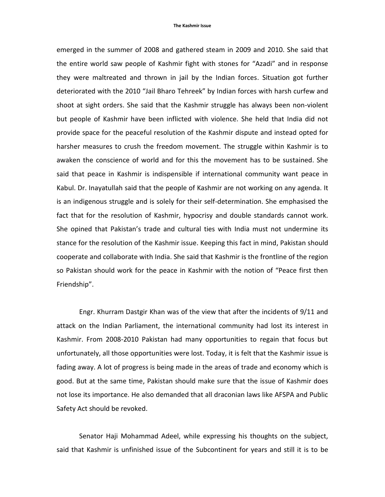emerged in the summer of 2008 and gathered steam in 2009 and 2010. She said that the entire world saw people of Kashmir fight with stones for "Azadi" and in response they were maltreated and thrown in jail by the Indian forces. Situation got further deteriorated with the 2010 "Jail Bharo Tehreek" by Indian forces with harsh curfew and shoot at sight orders. She said that the Kashmir struggle has always been non-violent but people of Kashmir have been inflicted with violence. She held that India did not provide space for the peaceful resolution of the Kashmir dispute and instead opted for harsher measures to crush the freedom movement. The struggle within Kashmir is to awaken the conscience of world and for this the movement has to be sustained. She said that peace in Kashmir is indispensible if international community want peace in Kabul. Dr. Inayatullah said that the people of Kashmir are not working on any agenda. It is an indigenous struggle and is solely for their self-determination. She emphasised the fact that for the resolution of Kashmir, hypocrisy and double standards cannot work. She opined that Pakistan's trade and cultural ties with India must not undermine its stance for the resolution of the Kashmir issue. Keeping this fact in mind, Pakistan should cooperate and collaborate with India. She said that Kashmir is the frontline of the region so Pakistan should work for the peace in Kashmir with the notion of "Peace first then Friendship".

Engr. Khurram Dastgir Khan was of the view that after the incidents of 9/11 and attack on the Indian Parliament, the international community had lost its interest in Kashmir. From 2008-2010 Pakistan had many opportunities to regain that focus but unfortunately, all those opportunities were lost. Today, it is felt that the Kashmir issue is fading away. A lot of progress is being made in the areas of trade and economy which is good. But at the same time, Pakistan should make sure that the issue of Kashmir does not lose its importance. He also demanded that all draconian laws like AFSPA and Public Safety Act should be revoked.

Senator Haji Mohammad Adeel, while expressing his thoughts on the subject, said that Kashmir is unfinished issue of the Subcontinent for years and still it is to be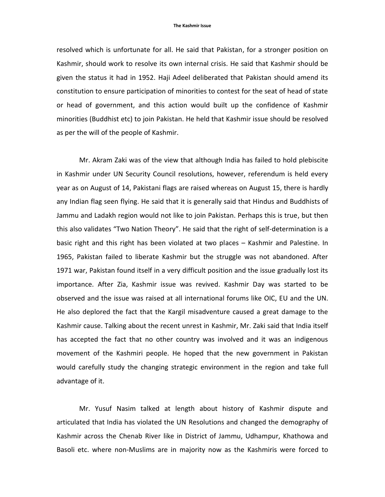resolved which is unfortunate for all. He said that Pakistan, for a stronger position on Kashmir, should work to resolve its own internal crisis. He said that Kashmir should be given the status it had in 1952. Haji Adeel deliberated that Pakistan should amend its constitution to ensure participation of minorities to contest for the seat of head of state or head of government, and this action would built up the confidence of Kashmir minorities (Buddhist etc) to join Pakistan. He held that Kashmir issue should be resolved as per the will of the people of Kashmir.

Mr. Akram Zaki was of the view that although India has failed to hold plebiscite in Kashmir under UN Security Council resolutions, however, referendum is held every year as on August of 14, Pakistani flags are raised whereas on August 15, there is hardly any Indian flag seen flying. He said that it is generally said that Hindus and Buddhists of Jammu and Ladakh region would not like to join Pakistan. Perhaps this is true, but then this also validates "Two Nation Theory". He said that the right of self-determination is a basic right and this right has been violated at two places – Kashmir and Palestine. In 1965, Pakistan failed to liberate Kashmir but the struggle was not abandoned. After 1971 war, Pakistan found itself in a very difficult position and the issue gradually lost its importance. After Zia, Kashmir issue was revived. Kashmir Day was started to be observed and the issue was raised at all international forums like OIC, EU and the UN. He also deplored the fact that the Kargil misadventure caused a great damage to the Kashmir cause. Talking about the recent unrest in Kashmir, Mr. Zaki said that India itself has accepted the fact that no other country was involved and it was an indigenous movement of the Kashmiri people. He hoped that the new government in Pakistan would carefully study the changing strategic environment in the region and take full advantage of it.

Mr. Yusuf Nasim talked at length about history of Kashmir dispute and articulated that India has violated the UN Resolutions and changed the demography of Kashmir across the Chenab River like in District of Jammu, Udhampur, Khathowa and Basoli etc. where non-Muslims are in majority now as the Kashmiris were forced to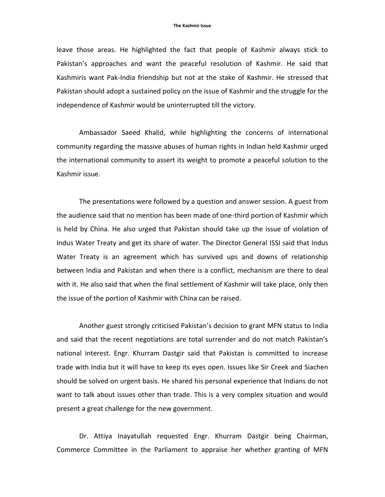leave those areas. He highlighted the fact that people of Kashmir always stick to Pakistan's approaches and want the peaceful resolution of Kashmir. He said that Kashmiris want Pak-India friendship but not at the stake of Kashmir. He stressed that Pakistan should adopt a sustained policy on the issue of Kashmir and the struggle for the independence of Kashmir would be uninterrupted till the victory.

Ambassador Saeed Khalid, while highlighting the concerns of international community regarding the massive abuses of human rights in Indian held Kashmir urged the international community to assert its weight to promote a peaceful solution to the Kashmir issue.

The presentations were followed by a question and answer session. A guest from the audience said that no mention has been made of one-third portion of Kashmir which is held by China. He also urged that Pakistan should take up the issue of violation of Indus Water Treaty and get its share of water. The Director General ISSI said that Indus Water Treaty is an agreement which has survived ups and downs of relationship between India and Pakistan and when there is a conflict, mechanism are there to deal with it. He also said that when the final settlement of Kashmir will take place, only then the issue of the portion of Kashmir with China can be raised.

Another guest strongly criticised Pakistan's decision to grant MFN status to India and said that the recent negotiations are total surrender and do not match Pakistan's national interest. Engr. Khurram Dastgir said that Pakistan is committed to increase trade with India but it will have to keep its eyes open. Issues like Sir Creek and Siachen should be solved on urgent basis. He shared his personal experience that Indians do not want to talk about issues other than trade. This is a very complex situation and would present a great challenge for the new government.

Dr. Attiya Inayatullah requested Engr. Khurram Dastgir being Chairman, Commerce Committee in the Parliament to appraise her whether granting of MFN